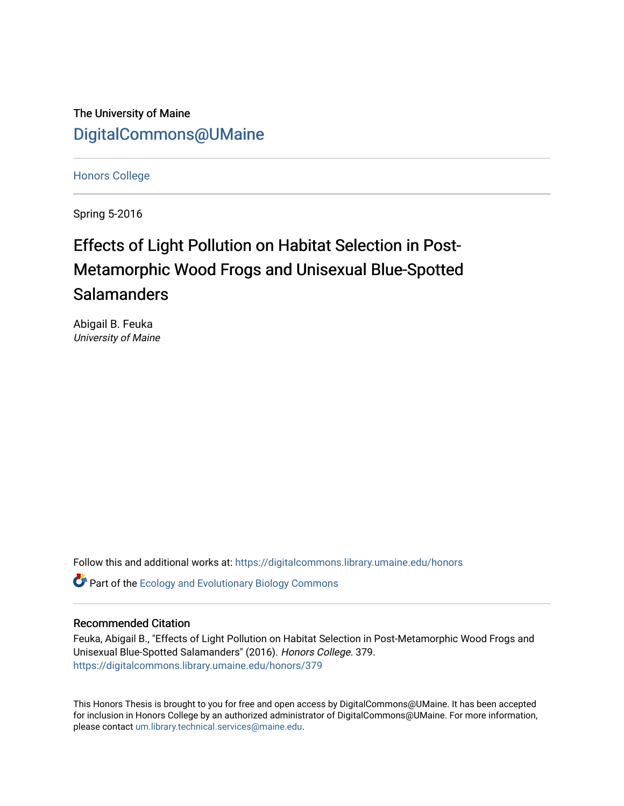The University of Maine [DigitalCommons@UMaine](https://digitalcommons.library.umaine.edu/)

[Honors College](https://digitalcommons.library.umaine.edu/honors)

Spring 5-2016

# Effects of Light Pollution on Habitat Selection in Post-Metamorphic Wood Frogs and Unisexual Blue-Spotted **Salamanders**

Abigail B. Feuka University of Maine

Follow this and additional works at: [https://digitalcommons.library.umaine.edu/honors](https://digitalcommons.library.umaine.edu/honors?utm_source=digitalcommons.library.umaine.edu%2Fhonors%2F379&utm_medium=PDF&utm_campaign=PDFCoverPages) 

**C** Part of the [Ecology and Evolutionary Biology Commons](http://network.bepress.com/hgg/discipline/14?utm_source=digitalcommons.library.umaine.edu%2Fhonors%2F379&utm_medium=PDF&utm_campaign=PDFCoverPages)

#### Recommended Citation

Feuka, Abigail B., "Effects of Light Pollution on Habitat Selection in Post-Metamorphic Wood Frogs and Unisexual Blue-Spotted Salamanders" (2016). Honors College. 379. [https://digitalcommons.library.umaine.edu/honors/379](https://digitalcommons.library.umaine.edu/honors/379?utm_source=digitalcommons.library.umaine.edu%2Fhonors%2F379&utm_medium=PDF&utm_campaign=PDFCoverPages) 

This Honors Thesis is brought to you for free and open access by DigitalCommons@UMaine. It has been accepted for inclusion in Honors College by an authorized administrator of DigitalCommons@UMaine. For more information, please contact [um.library.technical.services@maine.edu.](mailto:um.library.technical.services@maine.edu)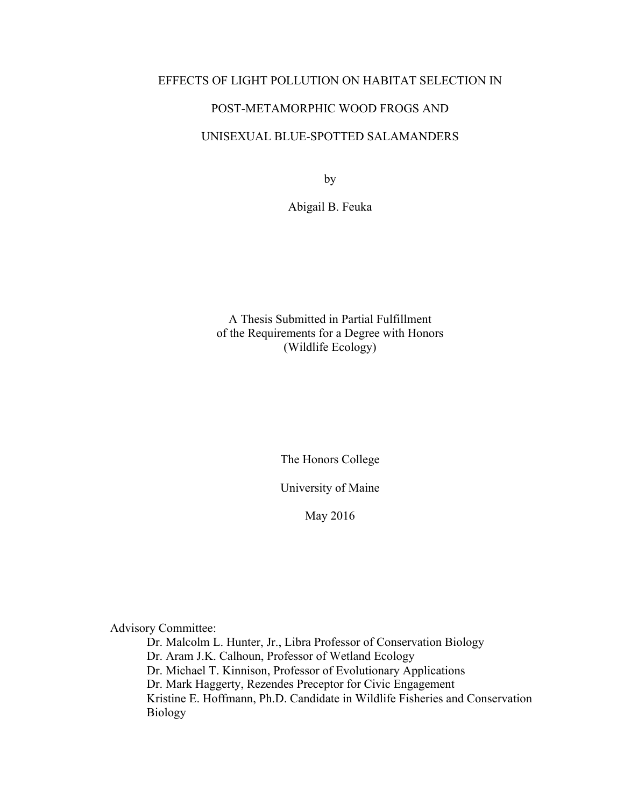#### EFFECTS OF LIGHT POLLUTION ON HABITAT SELECTION IN

#### POST-METAMORPHIC WOOD FROGS AND

#### UNISEXUAL BLUE-SPOTTED SALAMANDERS

by

Abigail B. Feuka

A Thesis Submitted in Partial Fulfillment of the Requirements for a Degree with Honors (Wildlife Ecology)

The Honors College

University of Maine

May 2016

Advisory Committee:

Dr. Malcolm L. Hunter, Jr., Libra Professor of Conservation Biology Dr. Aram J.K. Calhoun, Professor of Wetland Ecology Dr. Michael T. Kinnison, Professor of Evolutionary Applications Dr. Mark Haggerty, Rezendes Preceptor for Civic Engagement Kristine E. Hoffmann, Ph.D. Candidate in Wildlife Fisheries and Conservation Biology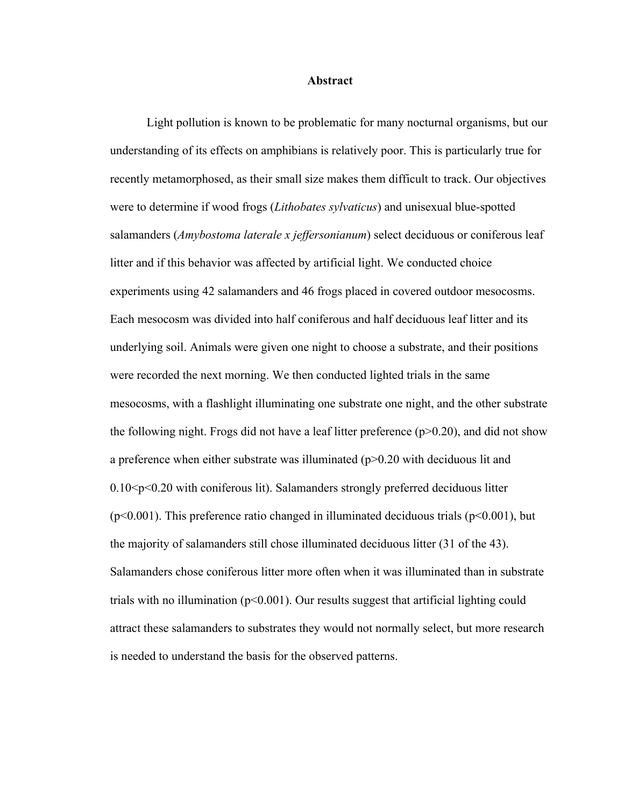#### **Abstract**

Light pollution is known to be problematic for many nocturnal organisms, but our understanding of its effects on amphibians is relatively poor. This is particularly true for recently metamorphosed, as their small size makes them difficult to track. Our objectives were to determine if wood frogs (*Lithobates sylvaticus*) and unisexual blue-spotted salamanders (*Amybostoma laterale x jeffersonianum*) select deciduous or coniferous leaf litter and if this behavior was affected by artificial light. We conducted choice experiments using 42 salamanders and 46 frogs placed in covered outdoor mesocosms. Each mesocosm was divided into half coniferous and half deciduous leaf litter and its underlying soil. Animals were given one night to choose a substrate, and their positions were recorded the next morning. We then conducted lighted trials in the same mesocosms, with a flashlight illuminating one substrate one night, and the other substrate the following night. Frogs did not have a leaf litter preference  $(p>0.20)$ , and did not show a preference when either substrate was illuminated  $(p>0.20$  with deciduous lit and  $0.10 \leq p \leq 0.20$  with coniferous lit). Salamanders strongly preferred deciduous litter  $(p<0.001)$ . This preference ratio changed in illuminated deciduous trials  $(p<0.001)$ , but the majority of salamanders still chose illuminated deciduous litter (31 of the 43). Salamanders chose coniferous litter more often when it was illuminated than in substrate trials with no illumination  $(p<0.001)$ . Our results suggest that artificial lighting could attract these salamanders to substrates they would not normally select, but more research is needed to understand the basis for the observed patterns.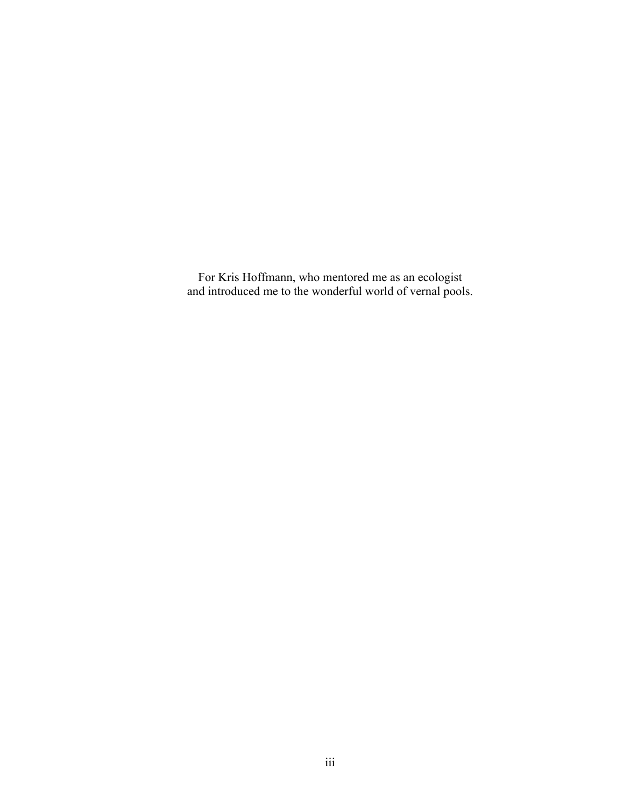For Kris Hoffmann, who mentored me as an ecologist and introduced me to the wonderful world of vernal pools.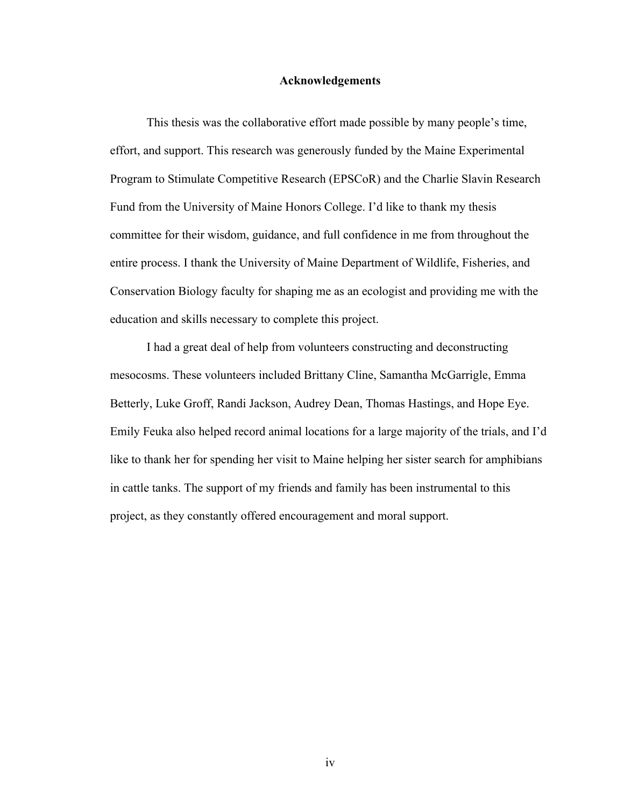#### **Acknowledgements**

This thesis was the collaborative effort made possible by many people's time, effort, and support. This research was generously funded by the Maine Experimental Program to Stimulate Competitive Research (EPSCoR) and the Charlie Slavin Research Fund from the University of Maine Honors College. I'd like to thank my thesis committee for their wisdom, guidance, and full confidence in me from throughout the entire process. I thank the University of Maine Department of Wildlife, Fisheries, and Conservation Biology faculty for shaping me as an ecologist and providing me with the education and skills necessary to complete this project.

I had a great deal of help from volunteers constructing and deconstructing mesocosms. These volunteers included Brittany Cline, Samantha McGarrigle, Emma Betterly, Luke Groff, Randi Jackson, Audrey Dean, Thomas Hastings, and Hope Eye. Emily Feuka also helped record animal locations for a large majority of the trials, and I'd like to thank her for spending her visit to Maine helping her sister search for amphibians in cattle tanks. The support of my friends and family has been instrumental to this project, as they constantly offered encouragement and moral support.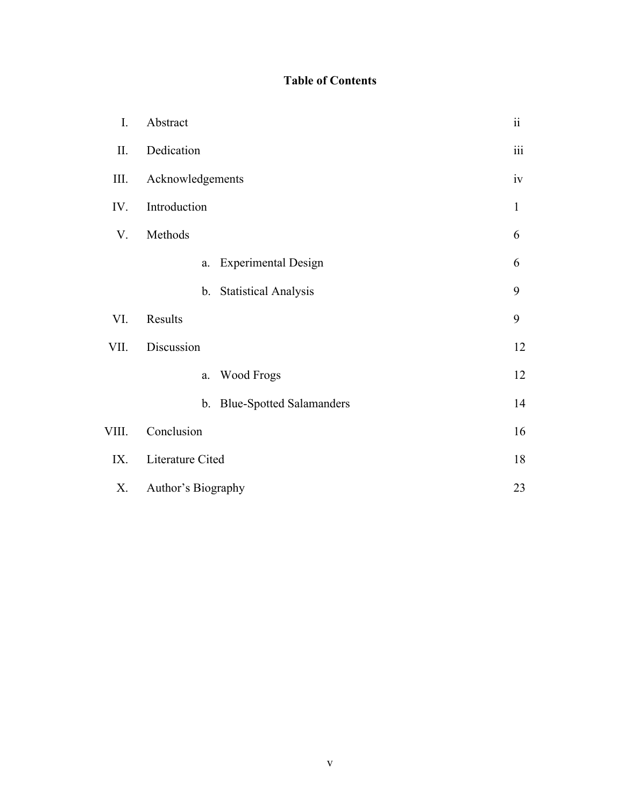### **Table of Contents**

| I.    | Abstract                          | $\ddot{\rm n}$ |  |  |  |  |
|-------|-----------------------------------|----------------|--|--|--|--|
| II.   | Dedication                        |                |  |  |  |  |
| III.  | Acknowledgements                  |                |  |  |  |  |
| IV.   | Introduction                      |                |  |  |  |  |
| V.    | Methods                           | 6              |  |  |  |  |
|       | <b>Experimental Design</b><br>a.  | 6              |  |  |  |  |
|       | <b>Statistical Analysis</b><br>b. | 9              |  |  |  |  |
| VI.   | Results                           | 9              |  |  |  |  |
| VII.  | Discussion                        | 12             |  |  |  |  |
|       | Wood Frogs<br>$a$ .               | 12             |  |  |  |  |
|       | b. Blue-Spotted Salamanders       | 14             |  |  |  |  |
| VIII. | Conclusion                        | 16             |  |  |  |  |
| IX.   | Literature Cited                  |                |  |  |  |  |
| Х.    | Author's Biography                |                |  |  |  |  |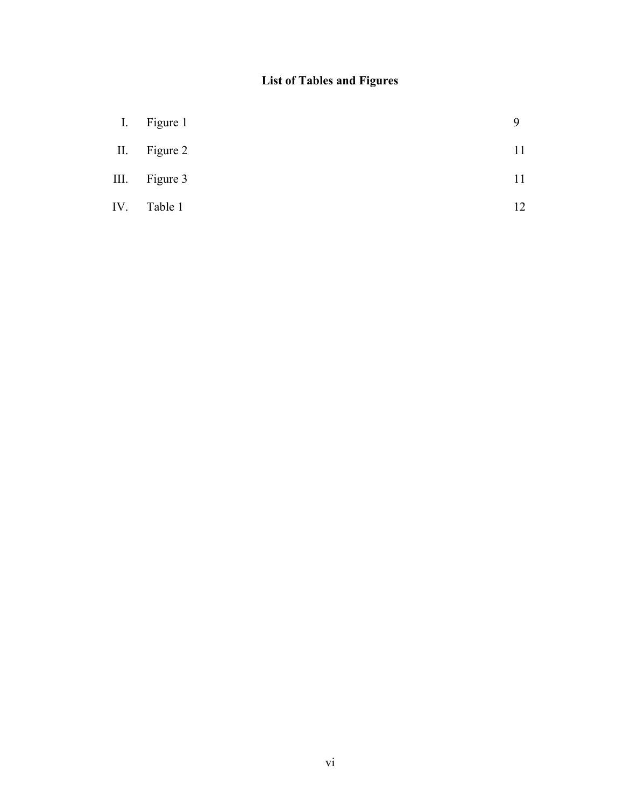## **List of Tables and Figures**

| $\prod$   | Figure 1 |    |
|-----------|----------|----|
| $\prod$ . | Figure 2 | 11 |
| III.      | Figure 3 |    |
| IV.       | Table 1  | 12 |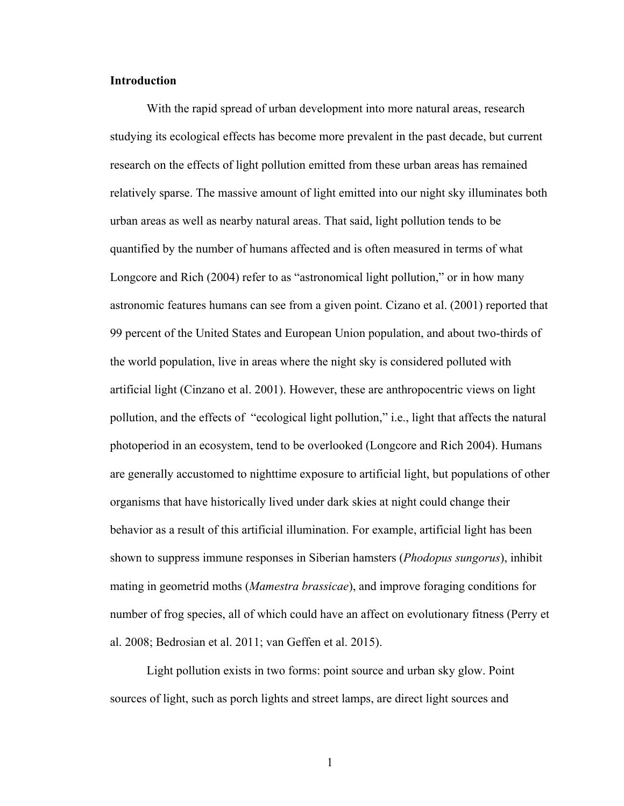#### **Introduction**

With the rapid spread of urban development into more natural areas, research studying its ecological effects has become more prevalent in the past decade, but current research on the effects of light pollution emitted from these urban areas has remained relatively sparse. The massive amount of light emitted into our night sky illuminates both urban areas as well as nearby natural areas. That said, light pollution tends to be quantified by the number of humans affected and is often measured in terms of what Longcore and Rich (2004) refer to as "astronomical light pollution," or in how many astronomic features humans can see from a given point. Cizano et al. (2001) reported that 99 percent of the United States and European Union population, and about two-thirds of the world population, live in areas where the night sky is considered polluted with artificial light (Cinzano et al. 2001). However, these are anthropocentric views on light pollution, and the effects of "ecological light pollution," i.e., light that affects the natural photoperiod in an ecosystem, tend to be overlooked (Longcore and Rich 2004). Humans are generally accustomed to nighttime exposure to artificial light, but populations of other organisms that have historically lived under dark skies at night could change their behavior as a result of this artificial illumination. For example, artificial light has been shown to suppress immune responses in Siberian hamsters (*Phodopus sungorus*), inhibit mating in geometrid moths (*Mamestra brassicae*), and improve foraging conditions for number of frog species, all of which could have an affect on evolutionary fitness (Perry et al. 2008; Bedrosian et al. 2011; van Geffen et al. 2015).

Light pollution exists in two forms: point source and urban sky glow. Point sources of light, such as porch lights and street lamps, are direct light sources and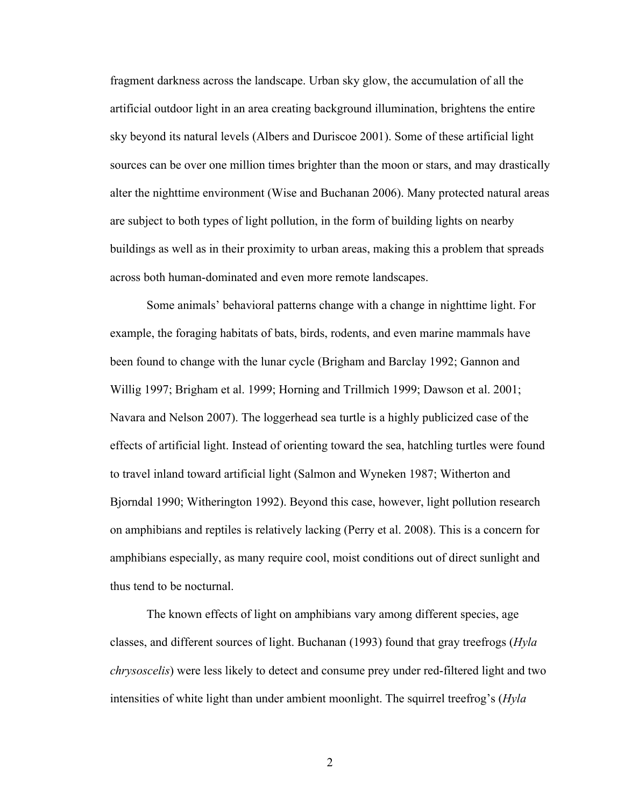fragment darkness across the landscape. Urban sky glow, the accumulation of all the artificial outdoor light in an area creating background illumination, brightens the entire sky beyond its natural levels (Albers and Duriscoe 2001). Some of these artificial light sources can be over one million times brighter than the moon or stars, and may drastically alter the nighttime environment (Wise and Buchanan 2006). Many protected natural areas are subject to both types of light pollution, in the form of building lights on nearby buildings as well as in their proximity to urban areas, making this a problem that spreads across both human-dominated and even more remote landscapes.

Some animals' behavioral patterns change with a change in nighttime light. For example, the foraging habitats of bats, birds, rodents, and even marine mammals have been found to change with the lunar cycle (Brigham and Barclay 1992; Gannon and Willig 1997; Brigham et al. 1999; Horning and Trillmich 1999; Dawson et al. 2001; Navara and Nelson 2007). The loggerhead sea turtle is a highly publicized case of the effects of artificial light. Instead of orienting toward the sea, hatchling turtles were found to travel inland toward artificial light (Salmon and Wyneken 1987; Witherton and Bjorndal 1990; Witherington 1992). Beyond this case, however, light pollution research on amphibians and reptiles is relatively lacking (Perry et al. 2008). This is a concern for amphibians especially, as many require cool, moist conditions out of direct sunlight and thus tend to be nocturnal.

The known effects of light on amphibians vary among different species, age classes, and different sources of light. Buchanan (1993) found that gray treefrogs (*Hyla chrysoscelis*) were less likely to detect and consume prey under red-filtered light and two intensities of white light than under ambient moonlight. The squirrel treefrog's (*Hyla*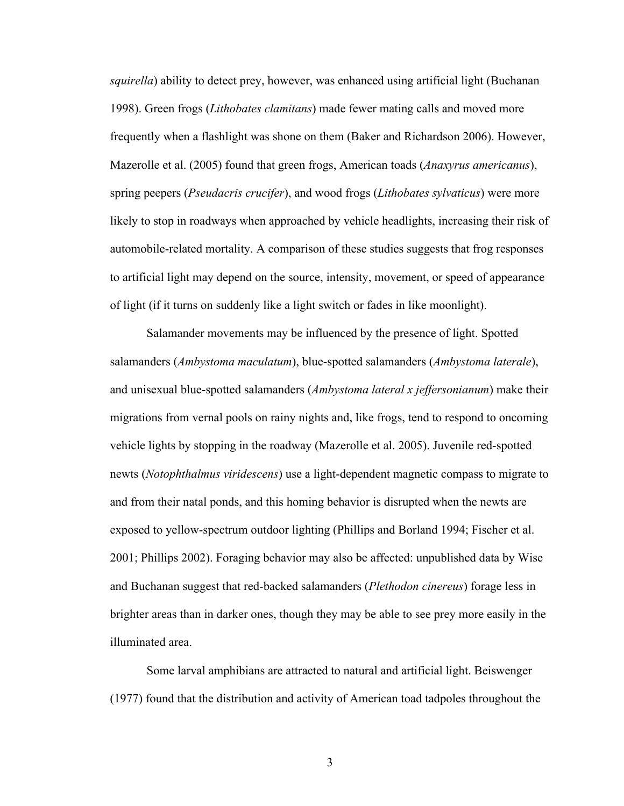*squirella*) ability to detect prey, however, was enhanced using artificial light (Buchanan 1998). Green frogs (*Lithobates clamitans*) made fewer mating calls and moved more frequently when a flashlight was shone on them (Baker and Richardson 2006). However, Mazerolle et al. (2005) found that green frogs, American toads (*Anaxyrus americanus*), spring peepers (*Pseudacris crucifer*), and wood frogs (*Lithobates sylvaticus*) were more likely to stop in roadways when approached by vehicle headlights, increasing their risk of automobile-related mortality. A comparison of these studies suggests that frog responses to artificial light may depend on the source, intensity, movement, or speed of appearance of light (if it turns on suddenly like a light switch or fades in like moonlight).

Salamander movements may be influenced by the presence of light. Spotted salamanders (*Ambystoma maculatum*), blue-spotted salamanders (*Ambystoma laterale*), and unisexual blue-spotted salamanders (*Ambystoma lateral x jeffersonianum*) make their migrations from vernal pools on rainy nights and, like frogs, tend to respond to oncoming vehicle lights by stopping in the roadway (Mazerolle et al. 2005). Juvenile red-spotted newts (*Notophthalmus viridescens*) use a light-dependent magnetic compass to migrate to and from their natal ponds, and this homing behavior is disrupted when the newts are exposed to yellow-spectrum outdoor lighting (Phillips and Borland 1994; Fischer et al. 2001; Phillips 2002). Foraging behavior may also be affected: unpublished data by Wise and Buchanan suggest that red-backed salamanders (*Plethodon cinereus*) forage less in brighter areas than in darker ones, though they may be able to see prey more easily in the illuminated area.

Some larval amphibians are attracted to natural and artificial light. Beiswenger (1977) found that the distribution and activity of American toad tadpoles throughout the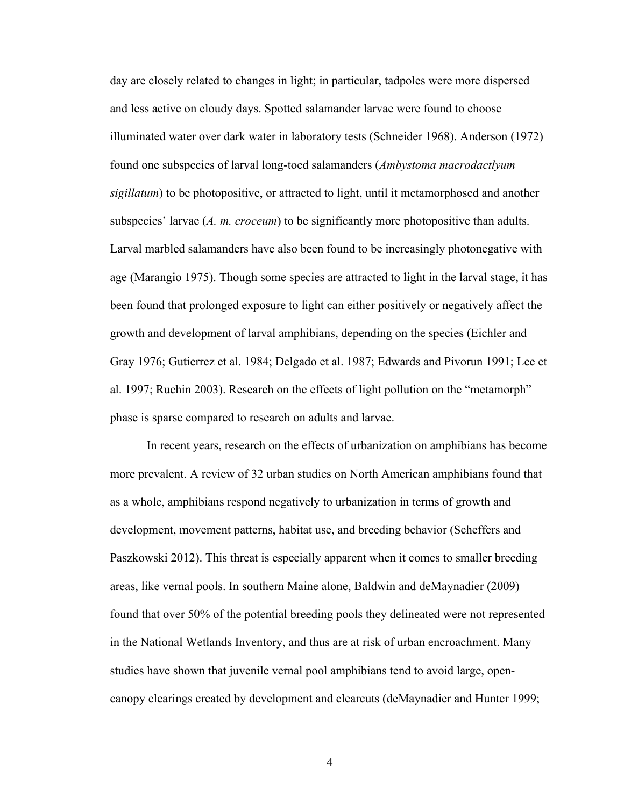day are closely related to changes in light; in particular, tadpoles were more dispersed and less active on cloudy days. Spotted salamander larvae were found to choose illuminated water over dark water in laboratory tests (Schneider 1968). Anderson (1972) found one subspecies of larval long-toed salamanders (*Ambystoma macrodactlyum sigillatum*) to be photopositive, or attracted to light, until it metamorphosed and another subspecies' larvae (*A. m. croceum*) to be significantly more photopositive than adults. Larval marbled salamanders have also been found to be increasingly photonegative with age (Marangio 1975). Though some species are attracted to light in the larval stage, it has been found that prolonged exposure to light can either positively or negatively affect the growth and development of larval amphibians, depending on the species (Eichler and Gray 1976; Gutierrez et al. 1984; Delgado et al. 1987; Edwards and Pivorun 1991; Lee et al. 1997; Ruchin 2003). Research on the effects of light pollution on the "metamorph" phase is sparse compared to research on adults and larvae.

In recent years, research on the effects of urbanization on amphibians has become more prevalent. A review of 32 urban studies on North American amphibians found that as a whole, amphibians respond negatively to urbanization in terms of growth and development, movement patterns, habitat use, and breeding behavior (Scheffers and Paszkowski 2012). This threat is especially apparent when it comes to smaller breeding areas, like vernal pools. In southern Maine alone, Baldwin and deMaynadier (2009) found that over 50% of the potential breeding pools they delineated were not represented in the National Wetlands Inventory, and thus are at risk of urban encroachment. Many studies have shown that juvenile vernal pool amphibians tend to avoid large, opencanopy clearings created by development and clearcuts (deMaynadier and Hunter 1999;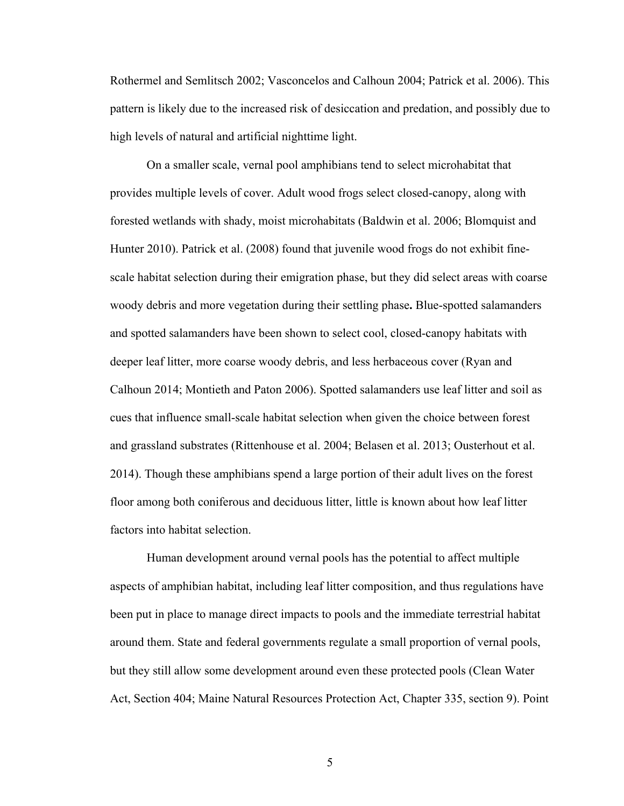Rothermel and Semlitsch 2002; Vasconcelos and Calhoun 2004; Patrick et al. 2006). This pattern is likely due to the increased risk of desiccation and predation, and possibly due to high levels of natural and artificial nighttime light.

On a smaller scale, vernal pool amphibians tend to select microhabitat that provides multiple levels of cover. Adult wood frogs select closed-canopy, along with forested wetlands with shady, moist microhabitats (Baldwin et al. 2006; Blomquist and Hunter 2010). Patrick et al. (2008) found that juvenile wood frogs do not exhibit finescale habitat selection during their emigration phase, but they did select areas with coarse woody debris and more vegetation during their settling phase**.** Blue-spotted salamanders and spotted salamanders have been shown to select cool, closed-canopy habitats with deeper leaf litter, more coarse woody debris, and less herbaceous cover (Ryan and Calhoun 2014; Montieth and Paton 2006). Spotted salamanders use leaf litter and soil as cues that influence small-scale habitat selection when given the choice between forest and grassland substrates (Rittenhouse et al. 2004; Belasen et al. 2013; Ousterhout et al. 2014). Though these amphibians spend a large portion of their adult lives on the forest floor among both coniferous and deciduous litter, little is known about how leaf litter factors into habitat selection.

Human development around vernal pools has the potential to affect multiple aspects of amphibian habitat, including leaf litter composition, and thus regulations have been put in place to manage direct impacts to pools and the immediate terrestrial habitat around them. State and federal governments regulate a small proportion of vernal pools, but they still allow some development around even these protected pools (Clean Water Act, Section 404; Maine Natural Resources Protection Act, Chapter 335, section 9). Point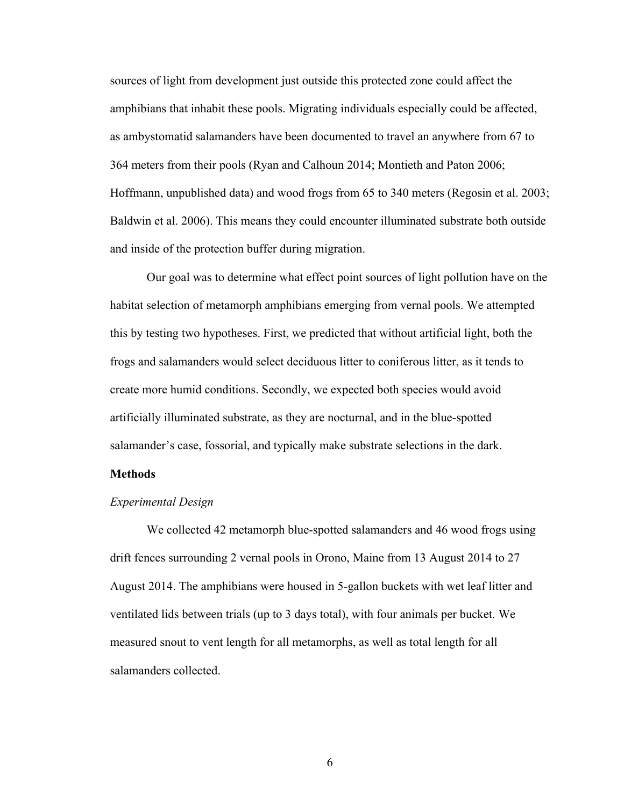sources of light from development just outside this protected zone could affect the amphibians that inhabit these pools. Migrating individuals especially could be affected, as ambystomatid salamanders have been documented to travel an anywhere from 67 to 364 meters from their pools (Ryan and Calhoun 2014; Montieth and Paton 2006; Hoffmann, unpublished data) and wood frogs from 65 to 340 meters (Regosin et al. 2003; Baldwin et al. 2006). This means they could encounter illuminated substrate both outside and inside of the protection buffer during migration.

Our goal was to determine what effect point sources of light pollution have on the habitat selection of metamorph amphibians emerging from vernal pools. We attempted this by testing two hypotheses. First, we predicted that without artificial light, both the frogs and salamanders would select deciduous litter to coniferous litter, as it tends to create more humid conditions. Secondly, we expected both species would avoid artificially illuminated substrate, as they are nocturnal, and in the blue-spotted salamander's case, fossorial, and typically make substrate selections in the dark.

#### **Methods**

#### *Experimental Design*

We collected 42 metamorph blue-spotted salamanders and 46 wood frogs using drift fences surrounding 2 vernal pools in Orono, Maine from 13 August 2014 to 27 August 2014. The amphibians were housed in 5-gallon buckets with wet leaf litter and ventilated lids between trials (up to 3 days total), with four animals per bucket. We measured snout to vent length for all metamorphs, as well as total length for all salamanders collected.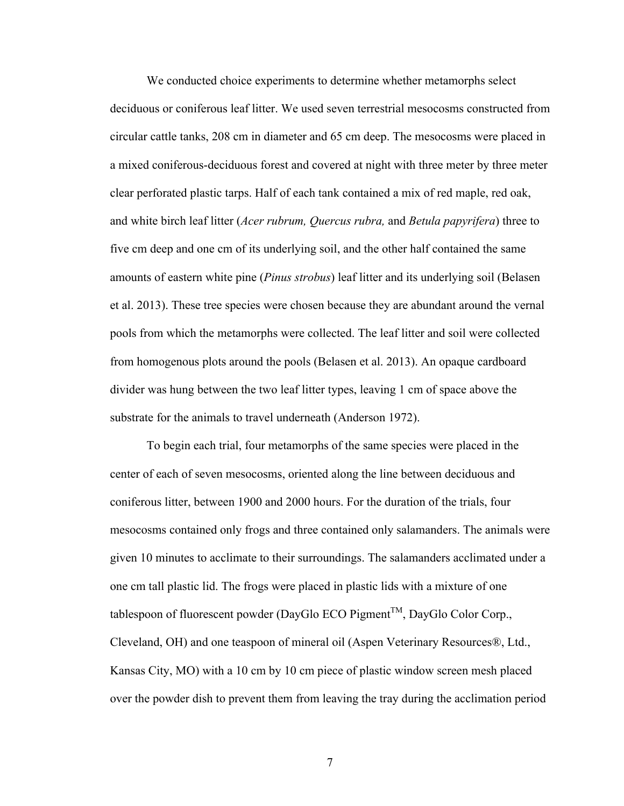We conducted choice experiments to determine whether metamorphs select deciduous or coniferous leaf litter. We used seven terrestrial mesocosms constructed from circular cattle tanks, 208 cm in diameter and 65 cm deep. The mesocosms were placed in a mixed coniferous-deciduous forest and covered at night with three meter by three meter clear perforated plastic tarps. Half of each tank contained a mix of red maple, red oak, and white birch leaf litter (*Acer rubrum, Quercus rubra,* and *Betula papyrifera*) three to five cm deep and one cm of its underlying soil, and the other half contained the same amounts of eastern white pine (*Pinus strobus*) leaf litter and its underlying soil (Belasen et al. 2013). These tree species were chosen because they are abundant around the vernal pools from which the metamorphs were collected. The leaf litter and soil were collected from homogenous plots around the pools (Belasen et al. 2013). An opaque cardboard divider was hung between the two leaf litter types, leaving 1 cm of space above the substrate for the animals to travel underneath (Anderson 1972).

To begin each trial, four metamorphs of the same species were placed in the center of each of seven mesocosms, oriented along the line between deciduous and coniferous litter, between 1900 and 2000 hours. For the duration of the trials, four mesocosms contained only frogs and three contained only salamanders. The animals were given 10 minutes to acclimate to their surroundings. The salamanders acclimated under a one cm tall plastic lid. The frogs were placed in plastic lids with a mixture of one tablespoon of fluorescent powder (DayGlo ECO Pigment<sup>TM</sup>, DayGlo Color Corp., Cleveland, OH) and one teaspoon of mineral oil (Aspen Veterinary Resources®, Ltd., Kansas City, MO) with a 10 cm by 10 cm piece of plastic window screen mesh placed over the powder dish to prevent them from leaving the tray during the acclimation period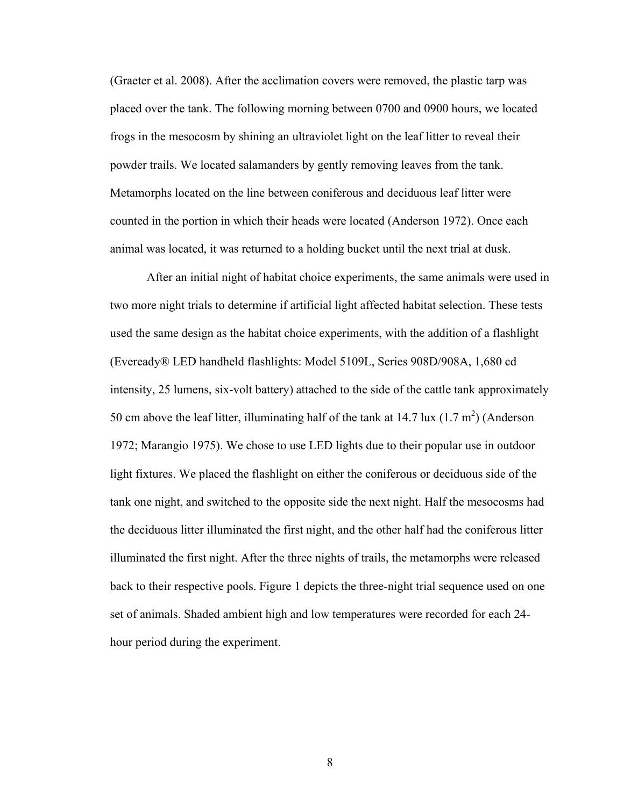(Graeter et al. 2008). After the acclimation covers were removed, the plastic tarp was placed over the tank. The following morning between 0700 and 0900 hours, we located frogs in the mesocosm by shining an ultraviolet light on the leaf litter to reveal their powder trails. We located salamanders by gently removing leaves from the tank. Metamorphs located on the line between coniferous and deciduous leaf litter were counted in the portion in which their heads were located (Anderson 1972). Once each animal was located, it was returned to a holding bucket until the next trial at dusk.

After an initial night of habitat choice experiments, the same animals were used in two more night trials to determine if artificial light affected habitat selection. These tests used the same design as the habitat choice experiments, with the addition of a flashlight (Eveready® LED handheld flashlights: Model 5109L, Series 908D/908A, 1,680 cd intensity, 25 lumens, six-volt battery) attached to the side of the cattle tank approximately 50 cm above the leaf litter, illuminating half of the tank at 14.7 lux  $(1.7 \text{ m}^2)$  (Anderson 1972; Marangio 1975). We chose to use LED lights due to their popular use in outdoor light fixtures. We placed the flashlight on either the coniferous or deciduous side of the tank one night, and switched to the opposite side the next night. Half the mesocosms had the deciduous litter illuminated the first night, and the other half had the coniferous litter illuminated the first night. After the three nights of trails, the metamorphs were released back to their respective pools. Figure 1 depicts the three-night trial sequence used on one set of animals. Shaded ambient high and low temperatures were recorded for each 24 hour period during the experiment.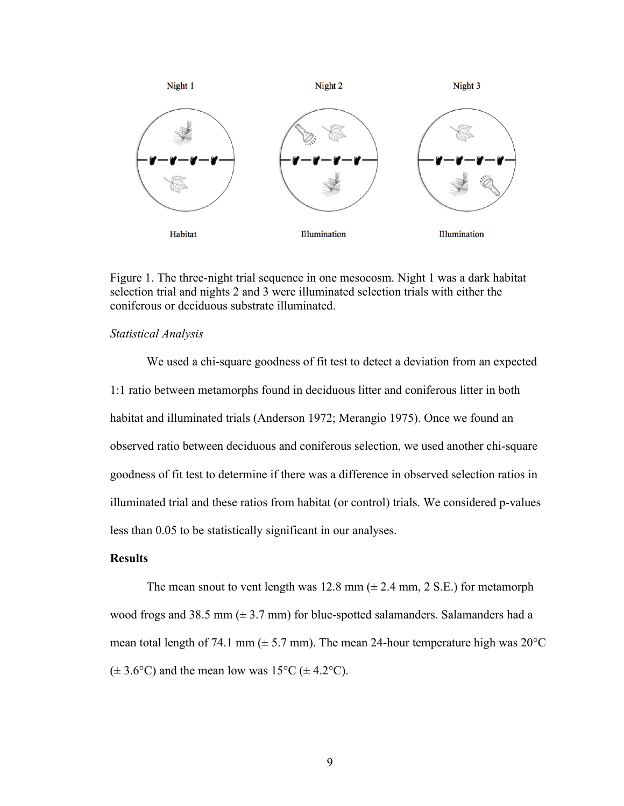

Figure 1. The three-night trial sequence in one mesocosm. Night 1 was a dark habitat selection trial and nights 2 and 3 were illuminated selection trials with either the coniferous or deciduous substrate illuminated.

#### *Statistical Analysis*

We used a chi-square goodness of fit test to detect a deviation from an expected 1:1 ratio between metamorphs found in deciduous litter and coniferous litter in both habitat and illuminated trials (Anderson 1972; Merangio 1975). Once we found an observed ratio between deciduous and coniferous selection, we used another chi-square goodness of fit test to determine if there was a difference in observed selection ratios in illuminated trial and these ratios from habitat (or control) trials. We considered p-values less than 0.05 to be statistically significant in our analyses.

#### **Results**

The mean snout to vent length was 12.8 mm  $(\pm 2.4 \text{ mm}, 2 \text{ S.E.})$  for metamorph wood frogs and 38.5 mm  $(\pm 3.7 \text{ mm})$  for blue-spotted salamanders. Salamanders had a mean total length of 74.1 mm ( $\pm$  5.7 mm). The mean 24-hour temperature high was 20 $^{\circ}$ C  $(\pm 3.6^{\circ} \text{C})$  and the mean low was 15°C ( $\pm 4.2^{\circ} \text{C}$ ).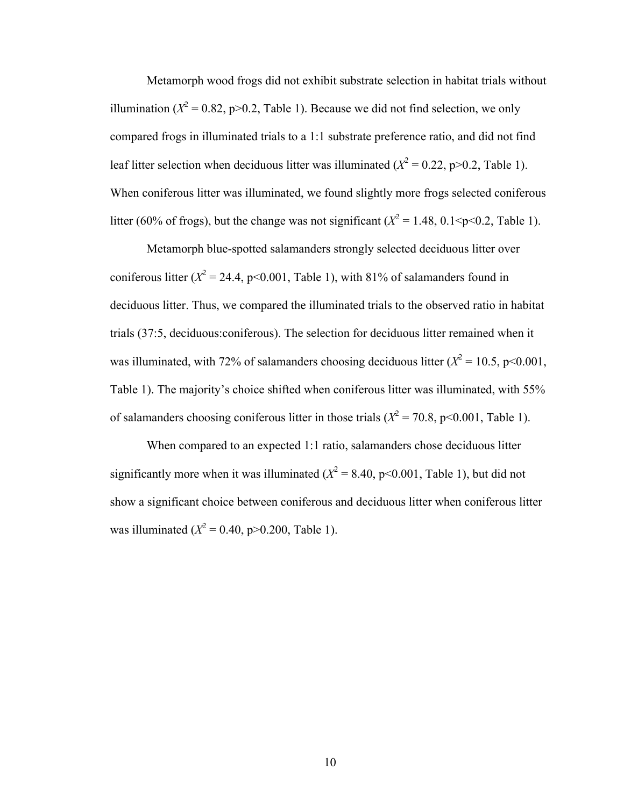Metamorph wood frogs did not exhibit substrate selection in habitat trials without illumination ( $X^2 = 0.82$ , p>0.2, Table 1). Because we did not find selection, we only compared frogs in illuminated trials to a 1:1 substrate preference ratio, and did not find leaf litter selection when deciduous litter was illuminated  $(X^2 = 0.22, p > 0.2,$  Table 1). When coniferous litter was illuminated, we found slightly more frogs selected coniferous litter (60% of frogs), but the change was not significant ( $X^2 = 1.48$ , 0.1 $\leq p \leq 0.2$ , Table 1).

Metamorph blue-spotted salamanders strongly selected deciduous litter over coniferous litter  $(X^2 = 24.4, p<0.001,$  Table 1), with 81% of salamanders found in deciduous litter. Thus, we compared the illuminated trials to the observed ratio in habitat trials (37:5, deciduous:coniferous). The selection for deciduous litter remained when it was illuminated, with 72% of salamanders choosing deciduous litter  $(X^2 = 10.5, p < 0.001,$ Table 1). The majority's choice shifted when coniferous litter was illuminated, with 55% of salamanders choosing coniferous litter in those trials  $(X^2 = 70.8, \text{ p} < 0.001, \text{ Table 1})$ .

When compared to an expected 1:1 ratio, salamanders chose deciduous litter significantly more when it was illuminated  $(X^2 = 8.40, p < 0.001,$  Table 1), but did not show a significant choice between coniferous and deciduous litter when coniferous litter was illuminated  $(X^2 = 0.40, p > 0.200,$  Table 1).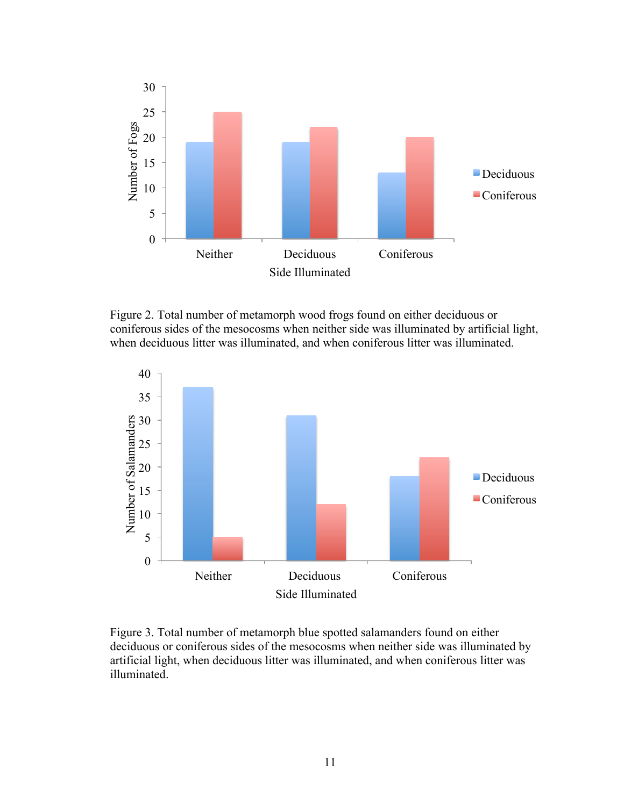

Figure 2. Total number of metamorph wood frogs found on either deciduous or coniferous sides of the mesocosms when neither side was illuminated by artificial light, when deciduous litter was illuminated, and when coniferous litter was illuminated.



Figure 3. Total number of metamorph blue spotted salamanders found on either deciduous or coniferous sides of the mesocosms when neither side was illuminated by artificial light, when deciduous litter was illuminated, and when coniferous litter was illuminated.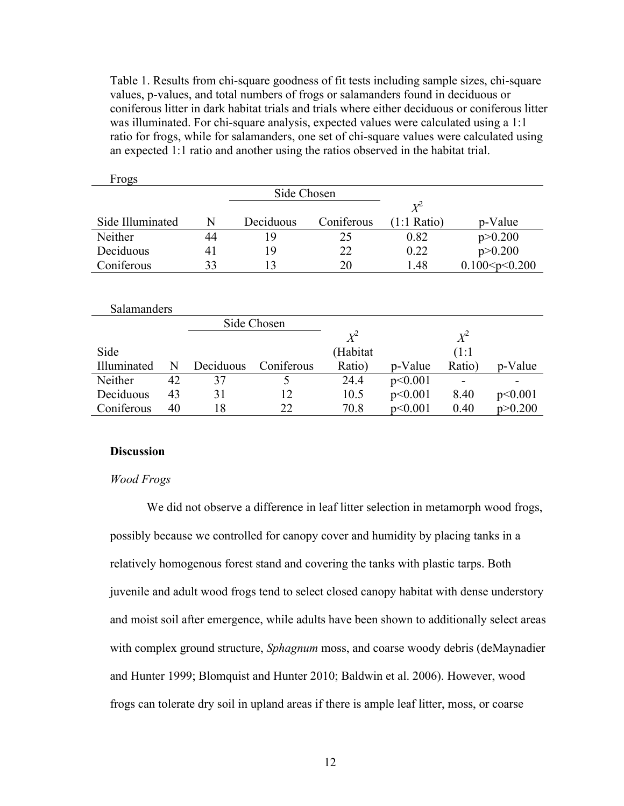Table 1. Results from chi-square goodness of fit tests including sample sizes, chi-square values, p-values, and total numbers of frogs or salamanders found in deciduous or coniferous litter in dark habitat trials and trials where either deciduous or coniferous litter was illuminated. For chi-square analysis, expected values were calculated using a 1:1 ratio for frogs, while for salamanders, one set of chi-square values were calculated using an expected 1:1 ratio and another using the ratios observed in the habitat trial.

| <b>FIORS</b>     |    |             |            |                       |                   |
|------------------|----|-------------|------------|-----------------------|-------------------|
|                  |    | Side Chosen |            |                       |                   |
|                  |    |             |            | $X^2$                 |                   |
| Side Illuminated | N  | Deciduous   | Coniferous | $(1:1 \text{ Ratio})$ | p-Value           |
| Neither          | 44 | 19          | 25         | 0.82                  | p > 0.200         |
| Deciduous        | 41 | 19          | 22         | 0.22                  | p > 0.200         |
| Coniferous       | 33 |             | 20         | 1.48                  | 0.100 < p < 0.200 |
|                  |    |             |            |                       |                   |

Salamanders Side Chosen Side Illuminated N Deciduous Coniferous  $X^2$ (Habitat Ratio) p-Value  $X^2$ (1:1 Ratio) p-Value Neither 42 37 5 24.4 p<0.001 - -Deciduous 43 31 12 10.5 p<0.001 8.40 p<0.001 Coniferous 40 18 22 70.8 p<0.001 0.40 p>0.200

#### **Discussion**

 $E_{\text{max}}$ 

#### *Wood Frogs*

We did not observe a difference in leaf litter selection in metamorph wood frogs, possibly because we controlled for canopy cover and humidity by placing tanks in a relatively homogenous forest stand and covering the tanks with plastic tarps. Both juvenile and adult wood frogs tend to select closed canopy habitat with dense understory and moist soil after emergence, while adults have been shown to additionally select areas with complex ground structure, *Sphagnum* moss, and coarse woody debris (deMaynadier and Hunter 1999; Blomquist and Hunter 2010; Baldwin et al. 2006). However, wood frogs can tolerate dry soil in upland areas if there is ample leaf litter, moss, or coarse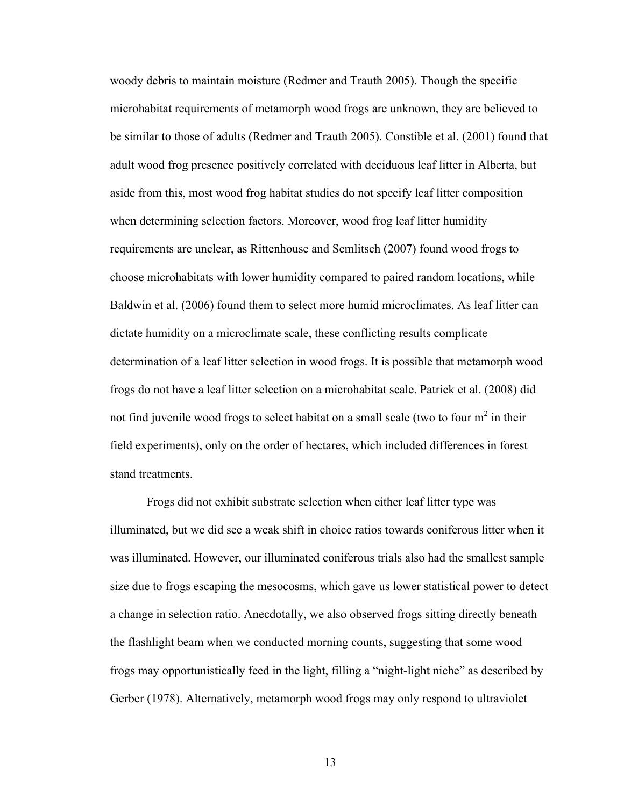woody debris to maintain moisture (Redmer and Trauth 2005). Though the specific microhabitat requirements of metamorph wood frogs are unknown, they are believed to be similar to those of adults (Redmer and Trauth 2005). Constible et al. (2001) found that adult wood frog presence positively correlated with deciduous leaf litter in Alberta, but aside from this, most wood frog habitat studies do not specify leaf litter composition when determining selection factors. Moreover, wood frog leaf litter humidity requirements are unclear, as Rittenhouse and Semlitsch (2007) found wood frogs to choose microhabitats with lower humidity compared to paired random locations, while Baldwin et al. (2006) found them to select more humid microclimates. As leaf litter can dictate humidity on a microclimate scale, these conflicting results complicate determination of a leaf litter selection in wood frogs. It is possible that metamorph wood frogs do not have a leaf litter selection on a microhabitat scale. Patrick et al. (2008) did not find juvenile wood frogs to select habitat on a small scale (two to four  $m^2$  in their field experiments), only on the order of hectares, which included differences in forest stand treatments.

Frogs did not exhibit substrate selection when either leaf litter type was illuminated, but we did see a weak shift in choice ratios towards coniferous litter when it was illuminated. However, our illuminated coniferous trials also had the smallest sample size due to frogs escaping the mesocosms, which gave us lower statistical power to detect a change in selection ratio. Anecdotally, we also observed frogs sitting directly beneath the flashlight beam when we conducted morning counts, suggesting that some wood frogs may opportunistically feed in the light, filling a "night-light niche" as described by Gerber (1978). Alternatively, metamorph wood frogs may only respond to ultraviolet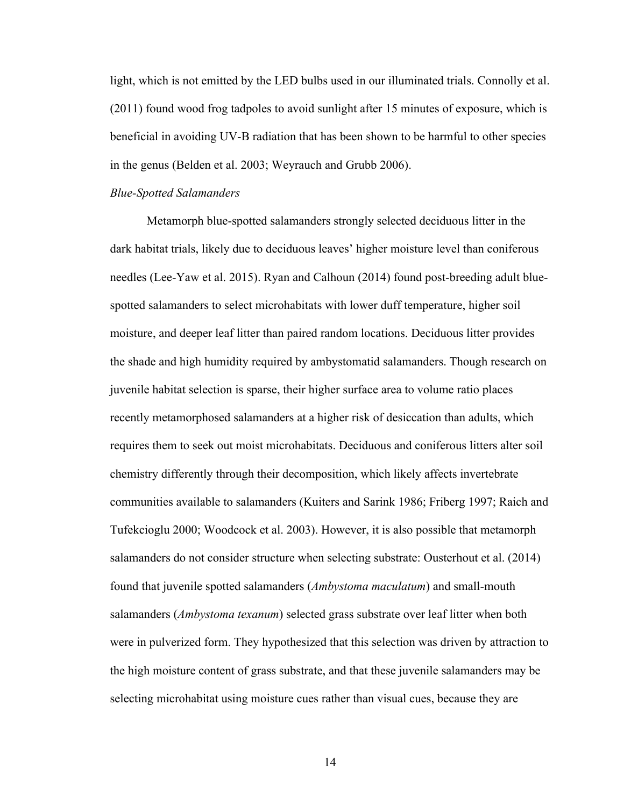light, which is not emitted by the LED bulbs used in our illuminated trials. Connolly et al. (2011) found wood frog tadpoles to avoid sunlight after 15 minutes of exposure, which is beneficial in avoiding UV-B radiation that has been shown to be harmful to other species in the genus (Belden et al. 2003; Weyrauch and Grubb 2006).

#### *Blue-Spotted Salamanders*

Metamorph blue-spotted salamanders strongly selected deciduous litter in the dark habitat trials, likely due to deciduous leaves' higher moisture level than coniferous needles (Lee-Yaw et al. 2015). Ryan and Calhoun (2014) found post-breeding adult bluespotted salamanders to select microhabitats with lower duff temperature, higher soil moisture, and deeper leaf litter than paired random locations. Deciduous litter provides the shade and high humidity required by ambystomatid salamanders. Though research on juvenile habitat selection is sparse, their higher surface area to volume ratio places recently metamorphosed salamanders at a higher risk of desiccation than adults, which requires them to seek out moist microhabitats. Deciduous and coniferous litters alter soil chemistry differently through their decomposition, which likely affects invertebrate communities available to salamanders (Kuiters and Sarink 1986; Friberg 1997; Raich and Tufekcioglu 2000; Woodcock et al. 2003). However, it is also possible that metamorph salamanders do not consider structure when selecting substrate: Ousterhout et al. (2014) found that juvenile spotted salamanders (*Ambystoma maculatum*) and small-mouth salamanders (*Ambystoma texanum*) selected grass substrate over leaf litter when both were in pulverized form. They hypothesized that this selection was driven by attraction to the high moisture content of grass substrate, and that these juvenile salamanders may be selecting microhabitat using moisture cues rather than visual cues, because they are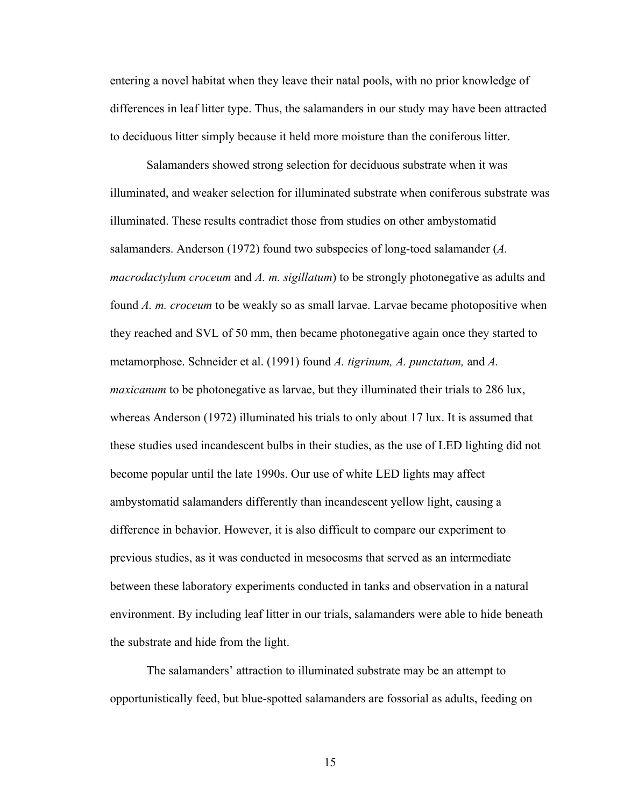entering a novel habitat when they leave their natal pools, with no prior knowledge of differences in leaf litter type. Thus, the salamanders in our study may have been attracted to deciduous litter simply because it held more moisture than the coniferous litter.

Salamanders showed strong selection for deciduous substrate when it was illuminated, and weaker selection for illuminated substrate when coniferous substrate was illuminated. These results contradict those from studies on other ambystomatid salamanders. Anderson (1972) found two subspecies of long-toed salamander (*A. macrodactylum croceum* and *A. m. sigillatum*) to be strongly photonegative as adults and found *A. m. croceum* to be weakly so as small larvae. Larvae became photopositive when they reached and SVL of 50 mm, then became photonegative again once they started to metamorphose. Schneider et al. (1991) found *A. tigrinum, A. punctatum,* and *A. maxicanum* to be photonegative as larvae, but they illuminated their trials to 286 lux, whereas Anderson (1972) illuminated his trials to only about 17 lux. It is assumed that these studies used incandescent bulbs in their studies, as the use of LED lighting did not become popular until the late 1990s. Our use of white LED lights may affect ambystomatid salamanders differently than incandescent yellow light, causing a difference in behavior. However, it is also difficult to compare our experiment to previous studies, as it was conducted in mesocosms that served as an intermediate between these laboratory experiments conducted in tanks and observation in a natural environment. By including leaf litter in our trials, salamanders were able to hide beneath the substrate and hide from the light.

The salamanders' attraction to illuminated substrate may be an attempt to opportunistically feed, but blue-spotted salamanders are fossorial as adults, feeding on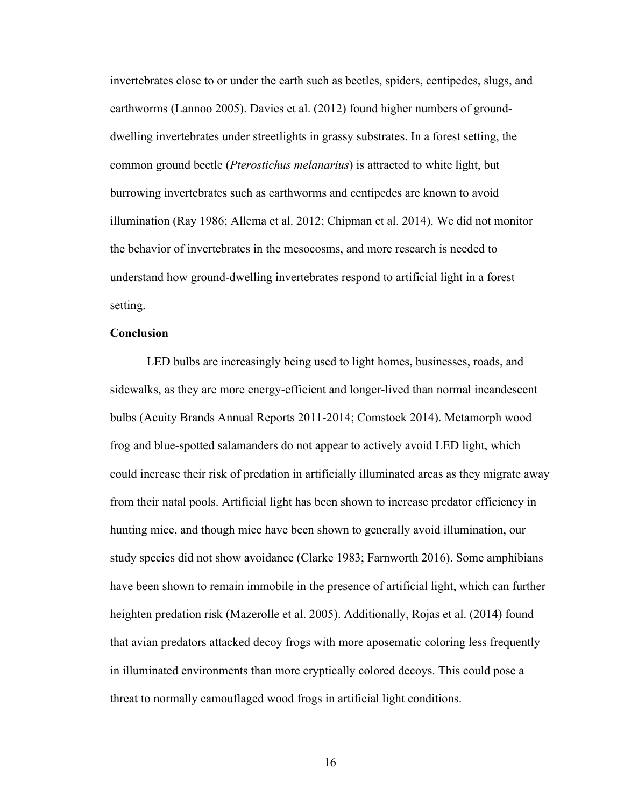invertebrates close to or under the earth such as beetles, spiders, centipedes, slugs, and earthworms (Lannoo 2005). Davies et al. (2012) found higher numbers of grounddwelling invertebrates under streetlights in grassy substrates. In a forest setting, the common ground beetle (*Pterostichus melanarius*) is attracted to white light, but burrowing invertebrates such as earthworms and centipedes are known to avoid illumination (Ray 1986; Allema et al. 2012; Chipman et al. 2014). We did not monitor the behavior of invertebrates in the mesocosms, and more research is needed to understand how ground-dwelling invertebrates respond to artificial light in a forest setting.

#### **Conclusion**

LED bulbs are increasingly being used to light homes, businesses, roads, and sidewalks, as they are more energy-efficient and longer-lived than normal incandescent bulbs (Acuity Brands Annual Reports 2011-2014; Comstock 2014). Metamorph wood frog and blue-spotted salamanders do not appear to actively avoid LED light, which could increase their risk of predation in artificially illuminated areas as they migrate away from their natal pools. Artificial light has been shown to increase predator efficiency in hunting mice, and though mice have been shown to generally avoid illumination, our study species did not show avoidance (Clarke 1983; Farnworth 2016). Some amphibians have been shown to remain immobile in the presence of artificial light, which can further heighten predation risk (Mazerolle et al. 2005). Additionally, Rojas et al. (2014) found that avian predators attacked decoy frogs with more aposematic coloring less frequently in illuminated environments than more cryptically colored decoys. This could pose a threat to normally camouflaged wood frogs in artificial light conditions.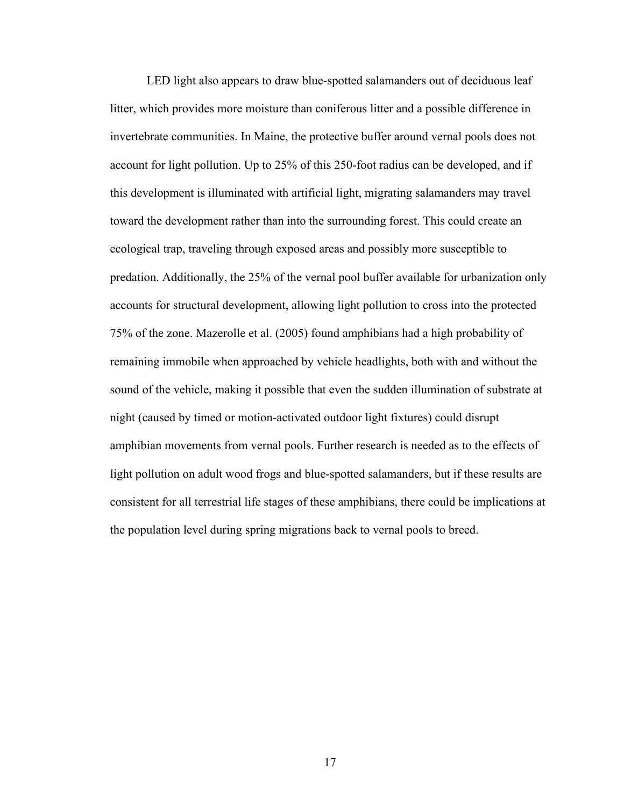LED light also appears to draw blue-spotted salamanders out of deciduous leaf litter, which provides more moisture than coniferous litter and a possible difference in invertebrate communities. In Maine, the protective buffer around vernal pools does not account for light pollution. Up to 25% of this 250-foot radius can be developed, and if this development is illuminated with artificial light, migrating salamanders may travel toward the development rather than into the surrounding forest. This could create an ecological trap, traveling through exposed areas and possibly more susceptible to predation. Additionally, the 25% of the vernal pool buffer available for urbanization only accounts for structural development, allowing light pollution to cross into the protected 75% of the zone. Mazerolle et al. (2005) found amphibians had a high probability of remaining immobile when approached by vehicle headlights, both with and without the sound of the vehicle, making it possible that even the sudden illumination of substrate at night (caused by timed or motion-activated outdoor light fixtures) could disrupt amphibian movements from vernal pools. Further research is needed as to the effects of light pollution on adult wood frogs and blue-spotted salamanders, but if these results are consistent for all terrestrial life stages of these amphibians, there could be implications at the population level during spring migrations back to vernal pools to breed.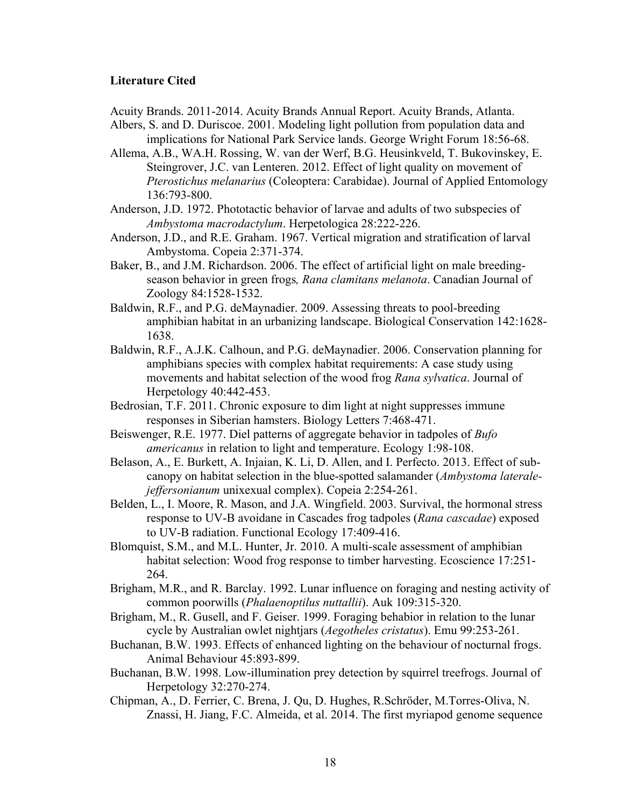#### **Literature Cited**

- Acuity Brands. 2011-2014. Acuity Brands Annual Report. Acuity Brands, Atlanta.
- Albers, S. and D. Duriscoe. 2001. Modeling light pollution from population data and implications for National Park Service lands. George Wright Forum 18:56-68.
- Allema, A.B., WA.H. Rossing, W. van der Werf, B.G. Heusinkveld, T. Bukovinskey, E. Steingrover, J.C. van Lenteren. 2012. Effect of light quality on movement of *Pterostichus melanarius* (Coleoptera: Carabidae). Journal of Applied Entomology 136:793-800.
- Anderson, J.D. 1972. Phototactic behavior of larvae and adults of two subspecies of *Ambystoma macrodactylum*. Herpetologica 28:222-226.
- Anderson, J.D., and R.E. Graham. 1967. Vertical migration and stratification of larval Ambystoma. Copeia 2:371-374.
- Baker, B., and J.M. Richardson. 2006. The effect of artificial light on male breedingseason behavior in green frogs*, Rana clamitans melanota*. Canadian Journal of Zoology 84:1528-1532.
- Baldwin, R.F., and P.G. deMaynadier. 2009. Assessing threats to pool-breeding amphibian habitat in an urbanizing landscape. Biological Conservation 142:1628- 1638.
- Baldwin, R.F., A.J.K. Calhoun, and P.G. deMaynadier. 2006. Conservation planning for amphibians species with complex habitat requirements: A case study using movements and habitat selection of the wood frog *Rana sylvatica*. Journal of Herpetology 40:442-453.
- Bedrosian, T.F. 2011. Chronic exposure to dim light at night suppresses immune responses in Siberian hamsters. Biology Letters 7:468-471.
- Beiswenger, R.E. 1977. Diel patterns of aggregate behavior in tadpoles of *Bufo americanus* in relation to light and temperature. Ecology 1:98-108.
- Belason, A., E. Burkett, A. Injaian, K. Li, D. Allen, and I. Perfecto. 2013. Effect of subcanopy on habitat selection in the blue-spotted salamander (*Ambystoma lateralejeffersonianum* unixexual complex). Copeia 2:254-261.
- Belden, L., I. Moore, R. Mason, and J.A. Wingfield. 2003. Survival, the hormonal stress response to UV-B avoidane in Cascades frog tadpoles (*Rana cascadae*) exposed to UV-B radiation. Functional Ecology 17:409-416.
- Blomquist, S.M., and M.L. Hunter, Jr. 2010. A multi-scale assessment of amphibian habitat selection: Wood frog response to timber harvesting. Ecoscience 17:251- 264.
- Brigham, M.R., and R. Barclay. 1992. Lunar influence on foraging and nesting activity of common poorwills (*Phalaenoptilus nuttallii*). Auk 109:315-320.
- Brigham, M., R. Gusell, and F. Geiser. 1999. Foraging behabior in relation to the lunar cycle by Australian owlet nightjars (*Aegotheles cristatus*). Emu 99:253-261.
- Buchanan, B.W. 1993. Effects of enhanced lighting on the behaviour of nocturnal frogs. Animal Behaviour 45:893-899.
- Buchanan, B.W. 1998. Low-illumination prey detection by squirrel treefrogs. Journal of Herpetology 32:270-274.
- Chipman, A., D. Ferrier, C. Brena, J. Qu, D. Hughes, R.Schröder, M.Torres-Oliva, N. Znassi, H. Jiang, F.C. Almeida, et al. 2014. The first myriapod genome sequence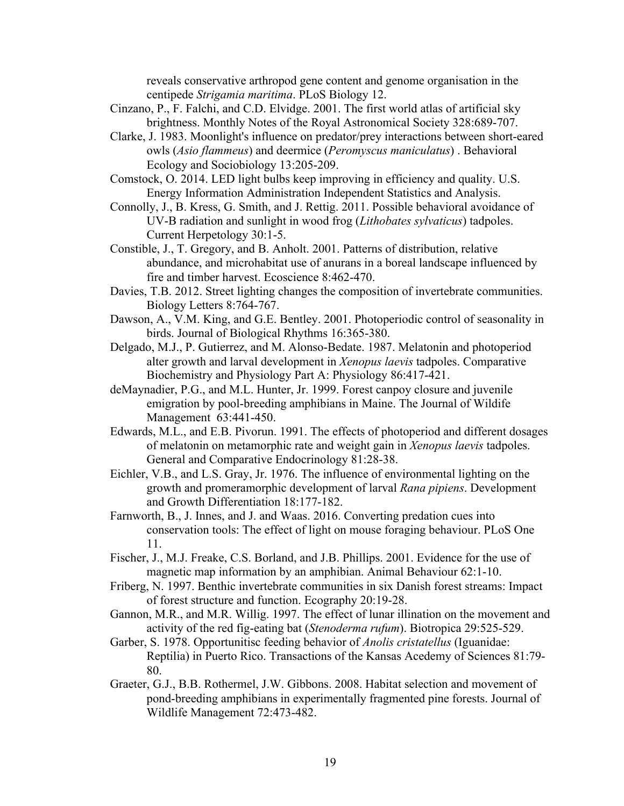reveals conservative arthropod gene content and genome organisation in the centipede *Strigamia maritima*. PLoS Biology 12.

- Cinzano, P., F. Falchi, and C.D. Elvidge. 2001. The first world atlas of artificial sky brightness. Monthly Notes of the Royal Astronomical Society 328:689-707.
- Clarke, J. 1983. Moonlight's influence on predator/prey interactions between short-eared owls (*Asio flammeus*) and deermice (*Peromyscus maniculatus*) . Behavioral Ecology and Sociobiology 13:205-209.
- Comstock, O. 2014. LED light bulbs keep improving in efficiency and quality. U.S. Energy Information Administration Independent Statistics and Analysis.
- Connolly, J., B. Kress, G. Smith, and J. Rettig. 2011. Possible behavioral avoidance of UV-B radiation and sunlight in wood frog (*Lithobates sylvaticus*) tadpoles. Current Herpetology 30:1-5.
- Constible, J., T. Gregory, and B. Anholt. 2001. Patterns of distribution, relative abundance, and microhabitat use of anurans in a boreal landscape influenced by fire and timber harvest. Ecoscience 8:462-470.
- Davies, T.B. 2012. Street lighting changes the composition of invertebrate communities. Biology Letters 8:764-767.
- Dawson, A., V.M. King, and G.E. Bentley. 2001. Photoperiodic control of seasonality in birds. Journal of Biological Rhythms 16:365-380.
- Delgado, M.J., P. Gutierrez, and M. Alonso-Bedate. 1987. Melatonin and photoperiod alter growth and larval development in *Xenopus laevis* tadpoles. Comparative Biochemistry and Physiology Part A: Physiology 86:417-421.
- deMaynadier, P.G., and M.L. Hunter, Jr. 1999. Forest canpoy closure and juvenile emigration by pool-breeding amphibians in Maine. The Journal of Wildife Management 63:441-450.
- Edwards, M.L., and E.B. Pivorun. 1991. The effects of photoperiod and different dosages of melatonin on metamorphic rate and weight gain in *Xenopus laevis* tadpoles. General and Comparative Endocrinology 81:28-38.
- Eichler, V.B., and L.S. Gray, Jr. 1976. The influence of environmental lighting on the growth and promeramorphic development of larval *Rana pipiens*. Development and Growth Differentiation 18:177-182.
- Farnworth, B., J. Innes, and J. and Waas. 2016. Converting predation cues into conservation tools: The effect of light on mouse foraging behaviour. PLoS One 11.
- Fischer, J., M.J. Freake, C.S. Borland, and J.B. Phillips. 2001. Evidence for the use of magnetic map information by an amphibian. Animal Behaviour 62:1-10.
- Friberg, N. 1997. Benthic invertebrate communities in six Danish forest streams: Impact of forest structure and function. Ecography 20:19-28.
- Gannon, M.R., and M.R. Willig. 1997. The effect of lunar illination on the movement and activity of the red fig-eating bat (*Stenoderma rufum*). Biotropica 29:525-529.
- Garber, S. 1978. Opportunitisc feeding behavior of *Anolis cristatellus* (Iguanidae: Reptilia) in Puerto Rico. Transactions of the Kansas Acedemy of Sciences 81:79- 80.
- Graeter, G.J., B.B. Rothermel, J.W. Gibbons. 2008. Habitat selection and movement of pond-breeding amphibians in experimentally fragmented pine forests. Journal of Wildlife Management 72:473-482.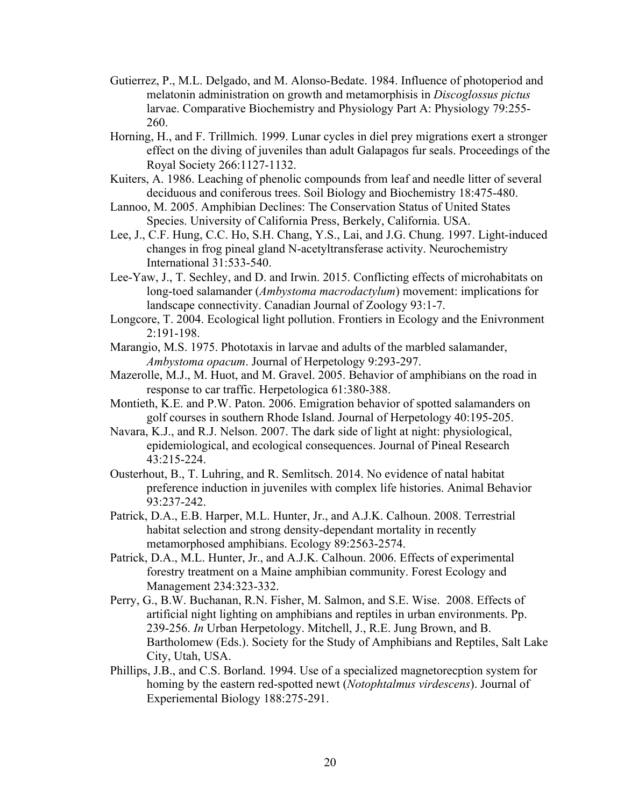- Gutierrez, P., M.L. Delgado, and M. Alonso-Bedate. 1984. Influence of photoperiod and melatonin administration on growth and metamorphisis in *Discoglossus pictus* larvae. Comparative Biochemistry and Physiology Part A: Physiology 79:255- 260.
- Horning, H., and F. Trillmich. 1999. Lunar cycles in diel prey migrations exert a stronger effect on the diving of juveniles than adult Galapagos fur seals. Proceedings of the Royal Society 266:1127-1132.
- Kuiters, A. 1986. Leaching of phenolic compounds from leaf and needle litter of several deciduous and coniferous trees. Soil Biology and Biochemistry 18:475-480.
- Lannoo, M. 2005. Amphibian Declines: The Conservation Status of United States Species. University of California Press, Berkely, California. USA.
- Lee, J., C.F. Hung, C.C. Ho, S.H. Chang, Y.S., Lai, and J.G. Chung. 1997. Light-induced changes in frog pineal gland N-acetyltransferase activity. Neurochemistry International 31:533-540.
- Lee-Yaw, J., T. Sechley, and D. and Irwin. 2015. Conflicting effects of microhabitats on long-toed salamander (*Ambystoma macrodactylum*) movement: implications for landscape connectivity. Canadian Journal of Zoology 93:1-7.
- Longcore, T. 2004. Ecological light pollution. Frontiers in Ecology and the Enivronment 2:191-198.
- Marangio, M.S. 1975. Phototaxis in larvae and adults of the marbled salamander, *Ambystoma opacum*. Journal of Herpetology 9:293-297.
- Mazerolle, M.J., M. Huot, and M. Gravel. 2005. Behavior of amphibians on the road in response to car traffic. Herpetologica 61:380-388.
- Montieth, K.E. and P.W. Paton. 2006. Emigration behavior of spotted salamanders on golf courses in southern Rhode Island. Journal of Herpetology 40:195-205.
- Navara, K.J., and R.J. Nelson. 2007. The dark side of light at night: physiological, epidemiological, and ecological consequences. Journal of Pineal Research 43:215-224.
- Ousterhout, B., T. Luhring, and R. Semlitsch. 2014. No evidence of natal habitat preference induction in juveniles with complex life histories. Animal Behavior 93:237-242.
- Patrick, D.A., E.B. Harper, M.L. Hunter, Jr., and A.J.K. Calhoun. 2008. Terrestrial habitat selection and strong density-dependant mortality in recently metamorphosed amphibians. Ecology 89:2563-2574.
- Patrick, D.A., M.L. Hunter, Jr., and A.J.K. Calhoun. 2006. Effects of experimental forestry treatment on a Maine amphibian community. Forest Ecology and Management 234:323-332.
- Perry, G., B.W. Buchanan, R.N. Fisher, M. Salmon, and S.E. Wise. 2008. Effects of artificial night lighting on amphibians and reptiles in urban environments. Pp. 239-256. *In* Urban Herpetology. Mitchell, J., R.E. Jung Brown, and B. Bartholomew (Eds.). Society for the Study of Amphibians and Reptiles, Salt Lake City, Utah, USA.
- Phillips, J.B., and C.S. Borland. 1994. Use of a specialized magnetorecption system for homing by the eastern red-spotted newt (*Notophtalmus virdescens*). Journal of Experiemental Biology 188:275-291.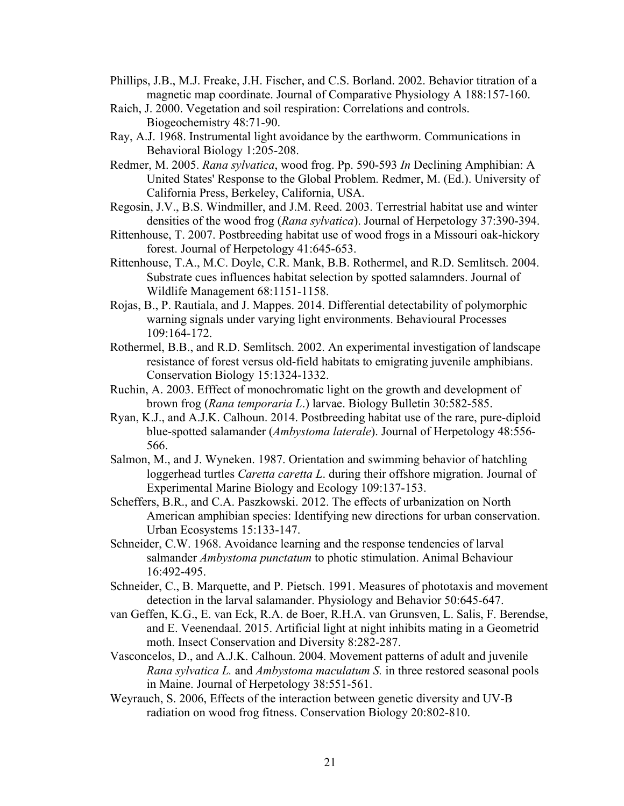- Phillips, J.B., M.J. Freake, J.H. Fischer, and C.S. Borland. 2002. Behavior titration of a magnetic map coordinate. Journal of Comparative Physiology A 188:157-160.
- Raich, J. 2000. Vegetation and soil respiration: Correlations and controls. Biogeochemistry 48:71-90.
- Ray, A.J. 1968. Instrumental light avoidance by the earthworm. Communications in Behavioral Biology 1:205-208.
- Redmer, M. 2005. *Rana sylvatica*, wood frog. Pp. 590-593 *In* Declining Amphibian: A United States' Response to the Global Problem. Redmer, M. (Ed.). University of California Press, Berkeley, California, USA.
- Regosin, J.V., B.S. Windmiller, and J.M. Reed. 2003. Terrestrial habitat use and winter densities of the wood frog (*Rana sylvatica*). Journal of Herpetology 37:390-394.
- Rittenhouse, T. 2007. Postbreeding habitat use of wood frogs in a Missouri oak-hickory forest. Journal of Herpetology 41:645-653.
- Rittenhouse, T.A., M.C. Doyle, C.R. Mank, B.B. Rothermel, and R.D. Semlitsch. 2004. Substrate cues influences habitat selection by spotted salamnders. Journal of Wildlife Management 68:1151-1158.
- Rojas, B., P. Rautiala, and J. Mappes. 2014. Differential detectability of polymorphic warning signals under varying light environments. Behavioural Processes 109:164-172.
- Rothermel, B.B., and R.D. Semlitsch. 2002. An experimental investigation of landscape resistance of forest versus old-field habitats to emigrating juvenile amphibians. Conservation Biology 15:1324-1332.
- Ruchin, A. 2003. Efffect of monochromatic light on the growth and development of brown frog (*Rana temporaria L*.) larvae. Biology Bulletin 30:582-585.
- Ryan, K.J., and A.J.K. Calhoun. 2014. Postbreeding habitat use of the rare, pure-diploid blue-spotted salamander (*Ambystoma laterale*). Journal of Herpetology 48:556- 566.
- Salmon, M., and J. Wyneken. 1987. Orientation and swimming behavior of hatchling loggerhead turtles *Caretta caretta L*. during their offshore migration. Journal of Experimental Marine Biology and Ecology 109:137-153.
- Scheffers, B.R., and C.A. Paszkowski. 2012. The effects of urbanization on North American amphibian species: Identifying new directions for urban conservation. Urban Ecosystems 15:133-147.
- Schneider, C.W. 1968. Avoidance learning and the response tendencies of larval salmander *Ambystoma punctatum* to photic stimulation. Animal Behaviour 16:492-495.
- Schneider, C., B. Marquette, and P. Pietsch. 1991. Measures of phototaxis and movement detection in the larval salamander. Physiology and Behavior 50:645-647.
- van Geffen, K.G., E. van Eck, R.A. de Boer, R.H.A. van Grunsven, L. Salis, F. Berendse, and E. Veenendaal. 2015. Artificial light at night inhibits mating in a Geometrid moth. Insect Conservation and Diversity 8:282-287.
- Vasconcelos, D., and A.J.K. Calhoun. 2004. Movement patterns of adult and juvenile *Rana sylvatica L.* and *Ambystoma maculatum S.* in three restored seasonal pools in Maine. Journal of Herpetology 38:551-561.
- Weyrauch, S. 2006, Effects of the interaction between genetic diversity and UV-B radiation on wood frog fitness. Conservation Biology 20:802-810.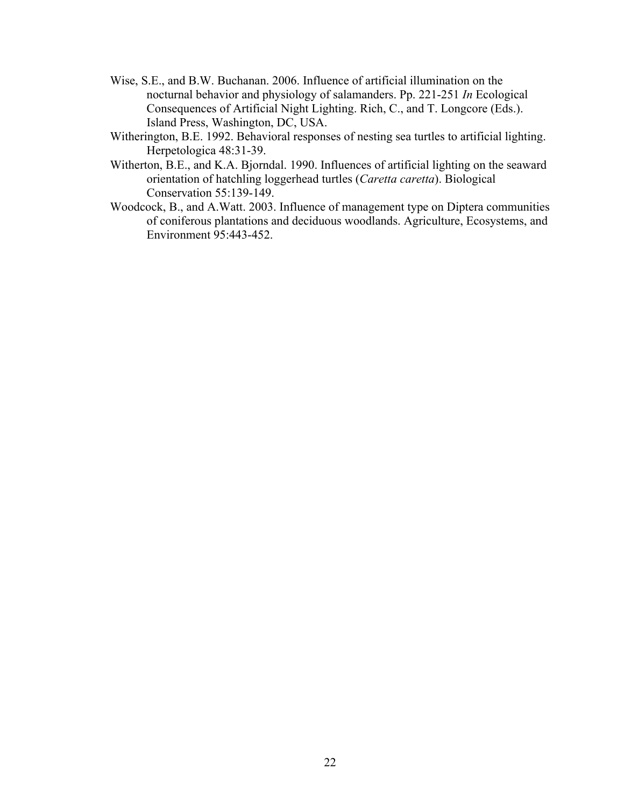- Wise, S.E., and B.W. Buchanan. 2006. Influence of artificial illumination on the nocturnal behavior and physiology of salamanders. Pp. 221-251 *In* Ecological Consequences of Artificial Night Lighting. Rich, C., and T. Longcore (Eds.). Island Press, Washington, DC, USA.
- Witherington, B.E. 1992. Behavioral responses of nesting sea turtles to artificial lighting. Herpetologica 48:31-39.
- Witherton, B.E., and K.A. Bjorndal. 1990. Influences of artificial lighting on the seaward orientation of hatchling loggerhead turtles (*Caretta caretta*). Biological Conservation 55:139-149.
- Woodcock, B., and A.Watt. 2003. Influence of management type on Diptera communities of coniferous plantations and deciduous woodlands. Agriculture, Ecosystems, and Environment 95:443-452.